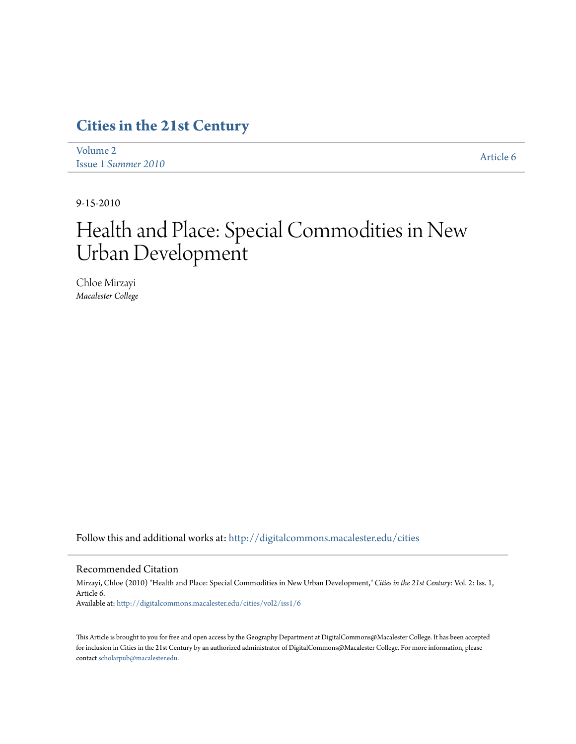# **[Cities in the 21st Century](http://digitalcommons.macalester.edu/cities?utm_source=digitalcommons.macalester.edu%2Fcities%2Fvol2%2Fiss1%2F6&utm_medium=PDF&utm_campaign=PDFCoverPages)**

[Volume 2](http://digitalcommons.macalester.edu/cities/vol2?utm_source=digitalcommons.macalester.edu%2Fcities%2Fvol2%2Fiss1%2F6&utm_medium=PDF&utm_campaign=PDFCoverPages) Issue 1 *[Summer 2010](http://digitalcommons.macalester.edu/cities/vol2/iss1?utm_source=digitalcommons.macalester.edu%2Fcities%2Fvol2%2Fiss1%2F6&utm_medium=PDF&utm_campaign=PDFCoverPages)* [Article 6](http://digitalcommons.macalester.edu/cities/vol2/iss1/6?utm_source=digitalcommons.macalester.edu%2Fcities%2Fvol2%2Fiss1%2F6&utm_medium=PDF&utm_campaign=PDFCoverPages)

9-15-2010

# Health and Place: Special Commodities in New Urban Development

Chloe Mirzayi *Macalester College*

Follow this and additional works at: [http://digitalcommons.macalester.edu/cities](http://digitalcommons.macalester.edu/cities?utm_source=digitalcommons.macalester.edu%2Fcities%2Fvol2%2Fiss1%2F6&utm_medium=PDF&utm_campaign=PDFCoverPages)

#### Recommended Citation

Mirzayi, Chloe (2010) "Health and Place: Special Commodities in New Urban Development," *Cities in the 21st Century*: Vol. 2: Iss. 1, Article 6. Available at: [http://digitalcommons.macalester.edu/cities/vol2/iss1/6](http://digitalcommons.macalester.edu/cities/vol2/iss1/6?utm_source=digitalcommons.macalester.edu%2Fcities%2Fvol2%2Fiss1%2F6&utm_medium=PDF&utm_campaign=PDFCoverPages)

This Article is brought to you for free and open access by the Geography Department at DigitalCommons@Macalester College. It has been accepted for inclusion in Cities in the 21st Century by an authorized administrator of DigitalCommons@Macalester College. For more information, please contact [scholarpub@macalester.edu.](mailto:scholarpub@macalester.edu)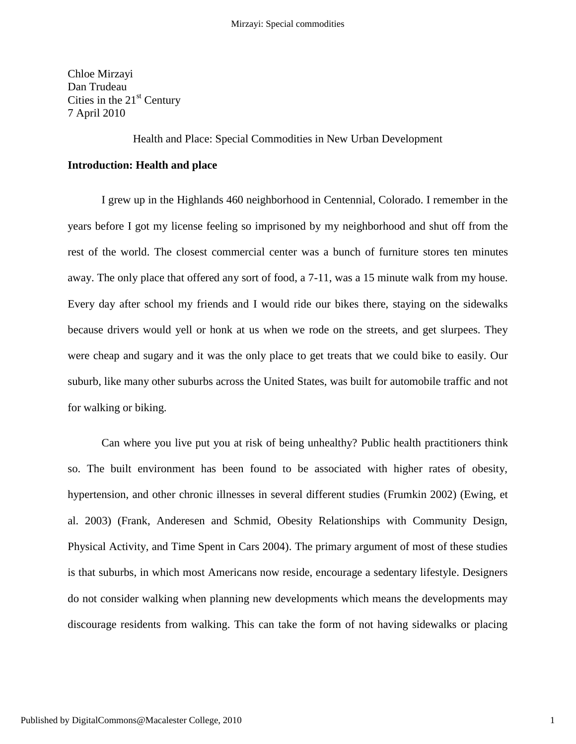Chloe Mirzayi Dan Trudeau Cities in the  $21<sup>st</sup>$  Century 7 April 2010

Health and Place: Special Commodities in New Urban Development

# **Introduction: Health and place**

I grew up in the Highlands 460 neighborhood in Centennial, Colorado. I remember in the years before I got my license feeling so imprisoned by my neighborhood and shut off from the rest of the world. The closest commercial center was a bunch of furniture stores ten minutes away. The only place that offered any sort of food, a 7-11, was a 15 minute walk from my house. Every day after school my friends and I would ride our bikes there, staying on the sidewalks because drivers would yell or honk at us when we rode on the streets, and get slurpees. They were cheap and sugary and it was the only place to get treats that we could bike to easily. Our suburb, like many other suburbs across the United States, was built for automobile traffic and not for walking or biking.

Can where you live put you at risk of being unhealthy? Public health practitioners think so. The built environment has been found to be associated with higher rates of obesity, hypertension, and other chronic illnesses in several different studies (Frumkin 2002) (Ewing, et al. 2003) (Frank, Anderesen and Schmid, Obesity Relationships with Community Design, Physical Activity, and Time Spent in Cars 2004). The primary argument of most of these studies is that suburbs, in which most Americans now reside, encourage a sedentary lifestyle. Designers do not consider walking when planning new developments which means the developments may discourage residents from walking. This can take the form of not having sidewalks or placing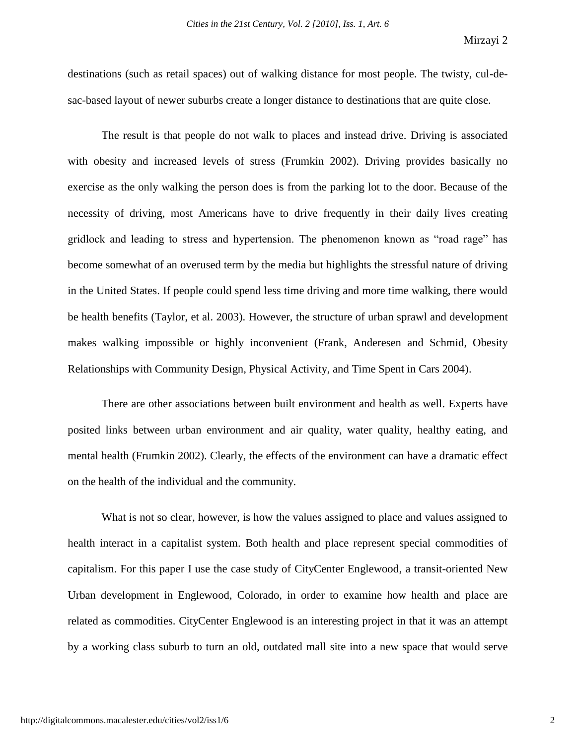destinations (such as retail spaces) out of walking distance for most people. The twisty, cul-desac-based layout of newer suburbs create a longer distance to destinations that are quite close.

The result is that people do not walk to places and instead drive. Driving is associated with obesity and increased levels of stress (Frumkin 2002). Driving provides basically no exercise as the only walking the person does is from the parking lot to the door. Because of the necessity of driving, most Americans have to drive frequently in their daily lives creating gridlock and leading to stress and hypertension. The phenomenon known as "road rage" has become somewhat of an overused term by the media but highlights the stressful nature of driving in the United States. If people could spend less time driving and more time walking, there would be health benefits (Taylor, et al. 2003). However, the structure of urban sprawl and development makes walking impossible or highly inconvenient (Frank, Anderesen and Schmid, Obesity Relationships with Community Design, Physical Activity, and Time Spent in Cars 2004).

There are other associations between built environment and health as well. Experts have posited links between urban environment and air quality, water quality, healthy eating, and mental health (Frumkin 2002). Clearly, the effects of the environment can have a dramatic effect on the health of the individual and the community.

What is not so clear, however, is how the values assigned to place and values assigned to health interact in a capitalist system. Both health and place represent special commodities of capitalism. For this paper I use the case study of CityCenter Englewood, a transit-oriented New Urban development in Englewood, Colorado, in order to examine how health and place are related as commodities. CityCenter Englewood is an interesting project in that it was an attempt by a working class suburb to turn an old, outdated mall site into a new space that would serve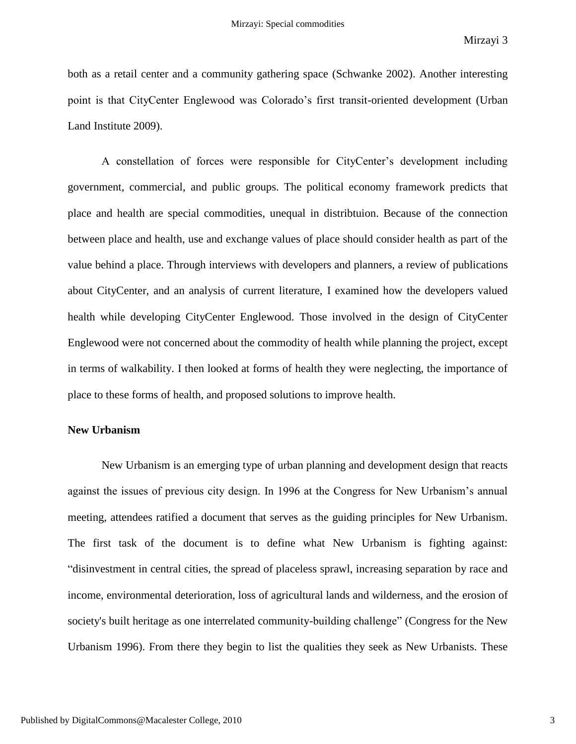both as a retail center and a community gathering space (Schwanke 2002). Another interesting point is that CityCenter Englewood was Colorado"s first transit-oriented development (Urban Land Institute 2009).

A constellation of forces were responsible for CityCenter"s development including government, commercial, and public groups. The political economy framework predicts that place and health are special commodities, unequal in distribtuion. Because of the connection between place and health, use and exchange values of place should consider health as part of the value behind a place. Through interviews with developers and planners, a review of publications about CityCenter, and an analysis of current literature, I examined how the developers valued health while developing CityCenter Englewood. Those involved in the design of CityCenter Englewood were not concerned about the commodity of health while planning the project, except in terms of walkability. I then looked at forms of health they were neglecting, the importance of place to these forms of health, and proposed solutions to improve health.

# **New Urbanism**

New Urbanism is an emerging type of urban planning and development design that reacts against the issues of previous city design. In 1996 at the Congress for New Urbanism"s annual meeting, attendees ratified a document that serves as the guiding principles for New Urbanism. The first task of the document is to define what New Urbanism is fighting against: "disinvestment in central cities, the spread of placeless sprawl, increasing separation by race and income, environmental deterioration, loss of agricultural lands and wilderness, and the erosion of society's built heritage as one interrelated community-building challenge" (Congress for the New Urbanism 1996). From there they begin to list the qualities they seek as New Urbanists. These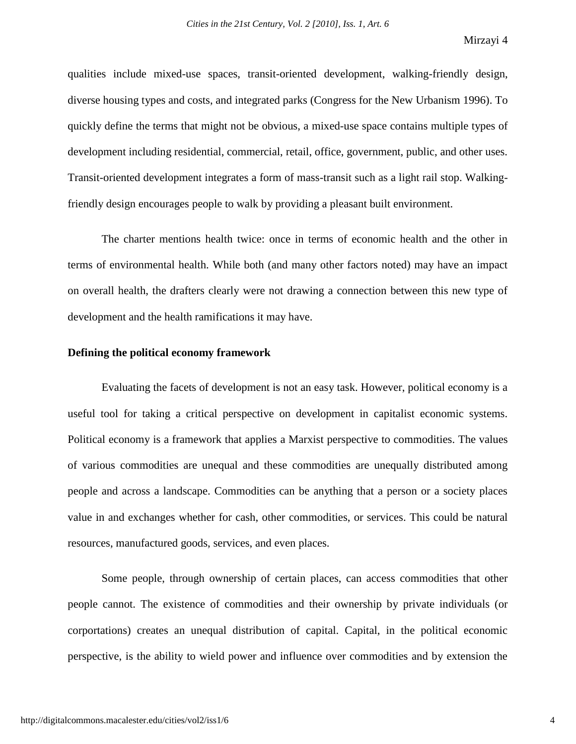qualities include mixed-use spaces, transit-oriented development, walking-friendly design, diverse housing types and costs, and integrated parks (Congress for the New Urbanism 1996). To quickly define the terms that might not be obvious, a mixed-use space contains multiple types of development including residential, commercial, retail, office, government, public, and other uses. Transit-oriented development integrates a form of mass-transit such as a light rail stop. Walkingfriendly design encourages people to walk by providing a pleasant built environment.

The charter mentions health twice: once in terms of economic health and the other in terms of environmental health. While both (and many other factors noted) may have an impact on overall health, the drafters clearly were not drawing a connection between this new type of development and the health ramifications it may have.

#### **Defining the political economy framework**

Evaluating the facets of development is not an easy task. However, political economy is a useful tool for taking a critical perspective on development in capitalist economic systems. Political economy is a framework that applies a Marxist perspective to commodities. The values of various commodities are unequal and these commodities are unequally distributed among people and across a landscape. Commodities can be anything that a person or a society places value in and exchanges whether for cash, other commodities, or services. This could be natural resources, manufactured goods, services, and even places.

Some people, through ownership of certain places, can access commodities that other people cannot. The existence of commodities and their ownership by private individuals (or corportations) creates an unequal distribution of capital. Capital, in the political economic perspective, is the ability to wield power and influence over commodities and by extension the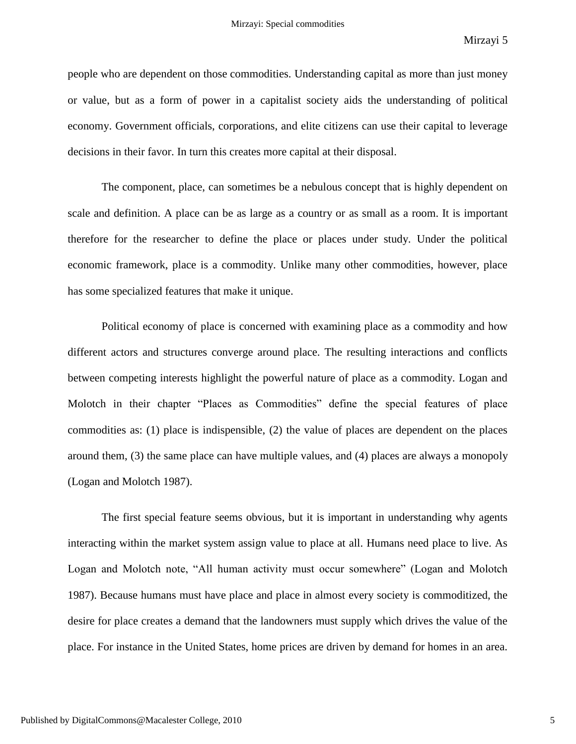people who are dependent on those commodities. Understanding capital as more than just money or value, but as a form of power in a capitalist society aids the understanding of political economy. Government officials, corporations, and elite citizens can use their capital to leverage decisions in their favor. In turn this creates more capital at their disposal.

The component, place, can sometimes be a nebulous concept that is highly dependent on scale and definition. A place can be as large as a country or as small as a room. It is important therefore for the researcher to define the place or places under study. Under the political economic framework, place is a commodity. Unlike many other commodities, however, place has some specialized features that make it unique.

Political economy of place is concerned with examining place as a commodity and how different actors and structures converge around place. The resulting interactions and conflicts between competing interests highlight the powerful nature of place as a commodity. Logan and Molotch in their chapter "Places as Commodities" define the special features of place commodities as: (1) place is indispensible, (2) the value of places are dependent on the places around them, (3) the same place can have multiple values, and (4) places are always a monopoly (Logan and Molotch 1987).

The first special feature seems obvious, but it is important in understanding why agents interacting within the market system assign value to place at all. Humans need place to live. As Logan and Molotch note, "All human activity must occur somewhere" (Logan and Molotch 1987). Because humans must have place and place in almost every society is commoditized, the desire for place creates a demand that the landowners must supply which drives the value of the place. For instance in the United States, home prices are driven by demand for homes in an area.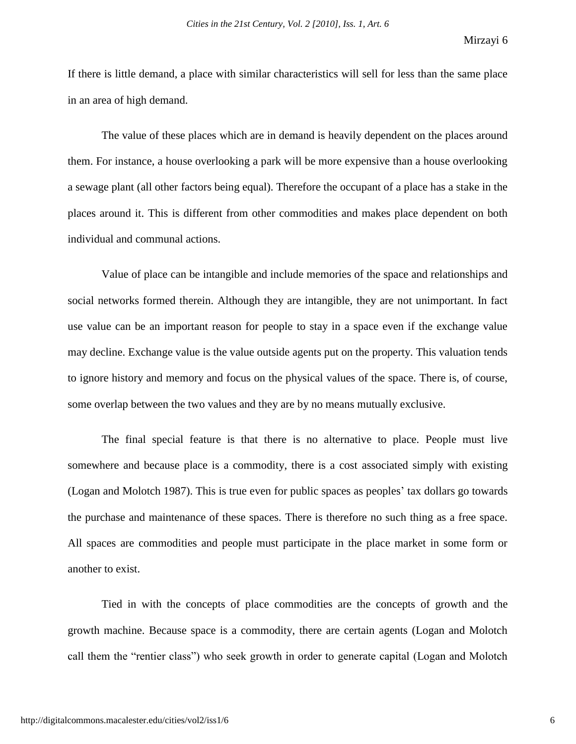If there is little demand, a place with similar characteristics will sell for less than the same place in an area of high demand.

The value of these places which are in demand is heavily dependent on the places around them. For instance, a house overlooking a park will be more expensive than a house overlooking a sewage plant (all other factors being equal). Therefore the occupant of a place has a stake in the places around it. This is different from other commodities and makes place dependent on both individual and communal actions.

Value of place can be intangible and include memories of the space and relationships and social networks formed therein. Although they are intangible, they are not unimportant. In fact use value can be an important reason for people to stay in a space even if the exchange value may decline. Exchange value is the value outside agents put on the property. This valuation tends to ignore history and memory and focus on the physical values of the space. There is, of course, some overlap between the two values and they are by no means mutually exclusive.

The final special feature is that there is no alternative to place. People must live somewhere and because place is a commodity, there is a cost associated simply with existing (Logan and Molotch 1987). This is true even for public spaces as peoples" tax dollars go towards the purchase and maintenance of these spaces. There is therefore no such thing as a free space. All spaces are commodities and people must participate in the place market in some form or another to exist.

Tied in with the concepts of place commodities are the concepts of growth and the growth machine. Because space is a commodity, there are certain agents (Logan and Molotch call them the "rentier class") who seek growth in order to generate capital (Logan and Molotch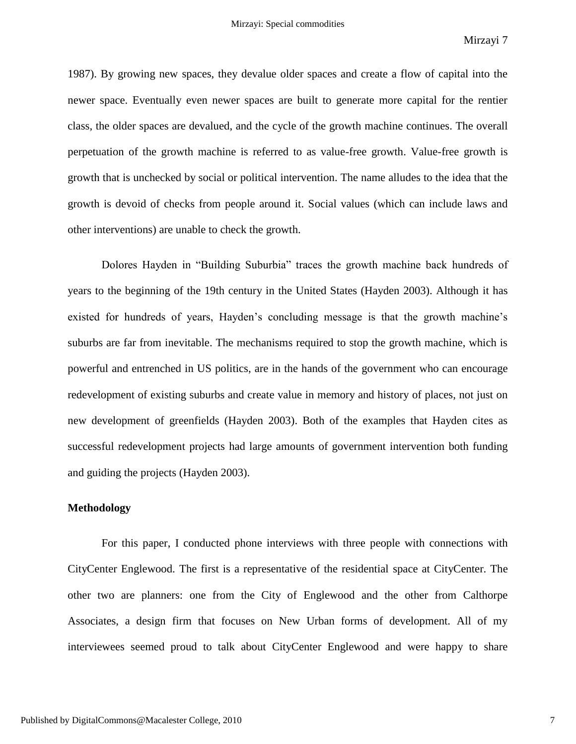1987). By growing new spaces, they devalue older spaces and create a flow of capital into the newer space. Eventually even newer spaces are built to generate more capital for the rentier class, the older spaces are devalued, and the cycle of the growth machine continues. The overall perpetuation of the growth machine is referred to as value-free growth. Value-free growth is growth that is unchecked by social or political intervention. The name alludes to the idea that the growth is devoid of checks from people around it. Social values (which can include laws and other interventions) are unable to check the growth.

Dolores Hayden in "Building Suburbia" traces the growth machine back hundreds of years to the beginning of the 19th century in the United States (Hayden 2003). Although it has existed for hundreds of years, Hayden"s concluding message is that the growth machine"s suburbs are far from inevitable. The mechanisms required to stop the growth machine, which is powerful and entrenched in US politics, are in the hands of the government who can encourage redevelopment of existing suburbs and create value in memory and history of places, not just on new development of greenfields (Hayden 2003). Both of the examples that Hayden cites as successful redevelopment projects had large amounts of government intervention both funding and guiding the projects (Hayden 2003).

## **Methodology**

For this paper, I conducted phone interviews with three people with connections with CityCenter Englewood. The first is a representative of the residential space at CityCenter. The other two are planners: one from the City of Englewood and the other from Calthorpe Associates, a design firm that focuses on New Urban forms of development. All of my interviewees seemed proud to talk about CityCenter Englewood and were happy to share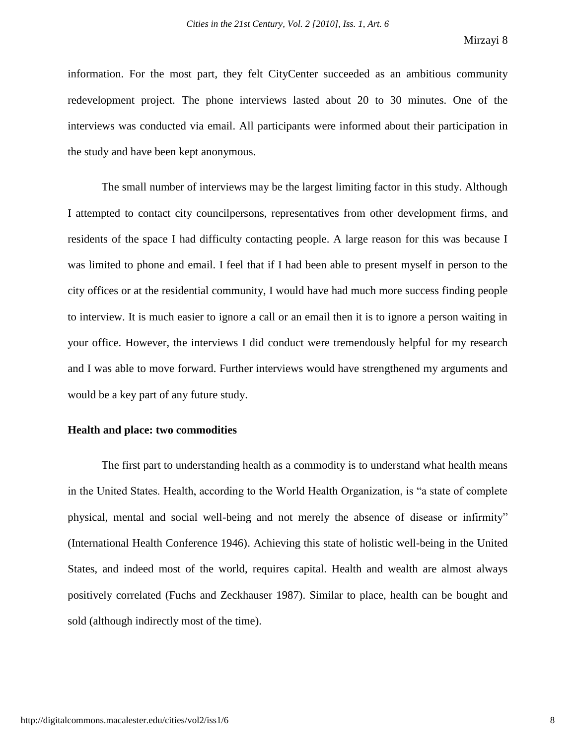information. For the most part, they felt CityCenter succeeded as an ambitious community redevelopment project. The phone interviews lasted about 20 to 30 minutes. One of the interviews was conducted via email. All participants were informed about their participation in the study and have been kept anonymous.

The small number of interviews may be the largest limiting factor in this study. Although I attempted to contact city councilpersons, representatives from other development firms, and residents of the space I had difficulty contacting people. A large reason for this was because I was limited to phone and email. I feel that if I had been able to present myself in person to the city offices or at the residential community, I would have had much more success finding people to interview. It is much easier to ignore a call or an email then it is to ignore a person waiting in your office. However, the interviews I did conduct were tremendously helpful for my research and I was able to move forward. Further interviews would have strengthened my arguments and would be a key part of any future study.

# **Health and place: two commodities**

The first part to understanding health as a commodity is to understand what health means in the United States. Health, according to the World Health Organization, is "a state of complete physical, mental and social well-being and not merely the absence of disease or infirmity" (International Health Conference 1946). Achieving this state of holistic well-being in the United States, and indeed most of the world, requires capital. Health and wealth are almost always positively correlated (Fuchs and Zeckhauser 1987). Similar to place, health can be bought and sold (although indirectly most of the time).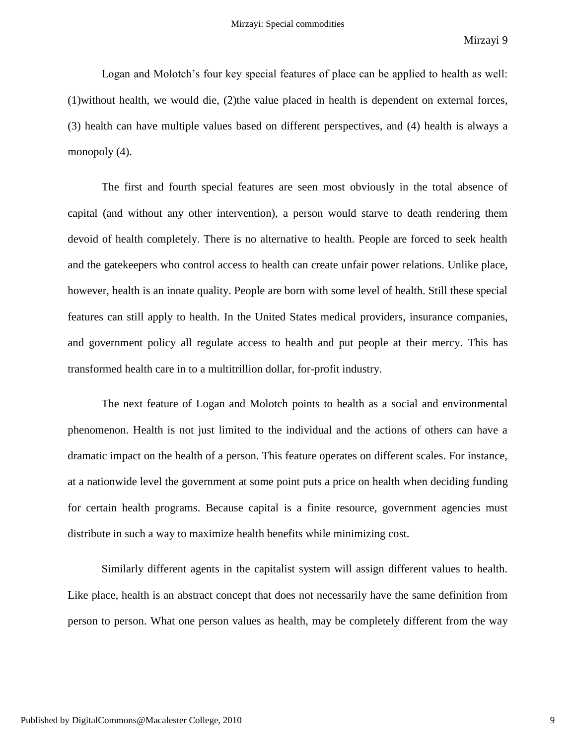Logan and Molotch's four key special features of place can be applied to health as well: (1)without health, we would die, (2)the value placed in health is dependent on external forces, (3) health can have multiple values based on different perspectives, and (4) health is always a monopoly  $(4)$ .

The first and fourth special features are seen most obviously in the total absence of capital (and without any other intervention), a person would starve to death rendering them devoid of health completely. There is no alternative to health. People are forced to seek health and the gatekeepers who control access to health can create unfair power relations. Unlike place, however, health is an innate quality. People are born with some level of health. Still these special features can still apply to health. In the United States medical providers, insurance companies, and government policy all regulate access to health and put people at their mercy. This has transformed health care in to a multitrillion dollar, for-profit industry.

The next feature of Logan and Molotch points to health as a social and environmental phenomenon. Health is not just limited to the individual and the actions of others can have a dramatic impact on the health of a person. This feature operates on different scales. For instance, at a nationwide level the government at some point puts a price on health when deciding funding for certain health programs. Because capital is a finite resource, government agencies must distribute in such a way to maximize health benefits while minimizing cost.

Similarly different agents in the capitalist system will assign different values to health. Like place, health is an abstract concept that does not necessarily have the same definition from person to person. What one person values as health, may be completely different from the way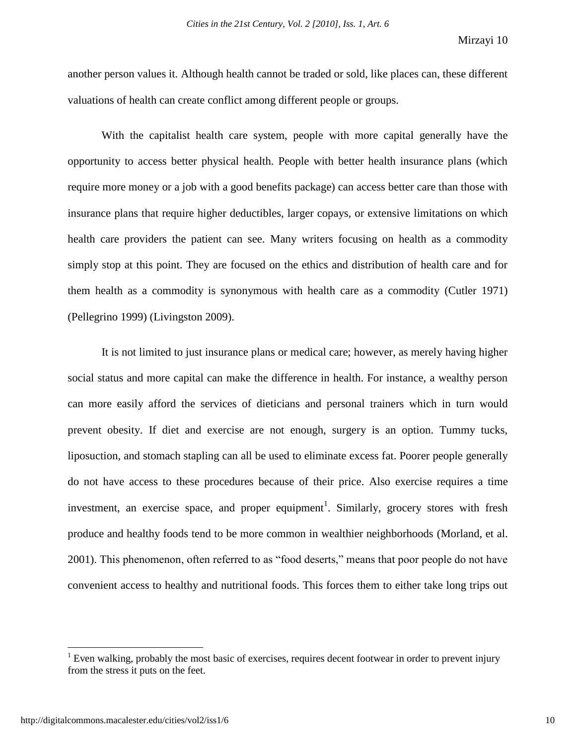another person values it. Although health cannot be traded or sold, like places can, these different valuations of health can create conflict among different people or groups.

With the capitalist health care system, people with more capital generally have the opportunity to access better physical health. People with better health insurance plans (which require more money or a job with a good benefits package) can access better care than those with insurance plans that require higher deductibles, larger copays, or extensive limitations on which health care providers the patient can see. Many writers focusing on health as a commodity simply stop at this point. They are focused on the ethics and distribution of health care and for them health as a commodity is synonymous with health care as a commodity (Cutler 1971) (Pellegrino 1999) (Livingston 2009).

It is not limited to just insurance plans or medical care; however, as merely having higher social status and more capital can make the difference in health. For instance, a wealthy person can more easily afford the services of dieticians and personal trainers which in turn would prevent obesity. If diet and exercise are not enough, surgery is an option. Tummy tucks, liposuction, and stomach stapling can all be used to eliminate excess fat. Poorer people generally do not have access to these procedures because of their price. Also exercise requires a time investment, an exercise space, and proper equipment<sup>1</sup>. Similarly, grocery stores with fresh produce and healthy foods tend to be more common in wealthier neighborhoods (Morland, et al. 2001). This phenomenon, often referred to as "food deserts," means that poor people do not have convenient access to healthy and nutritional foods. This forces them to either take long trips out

 $1$  Even walking, probably the most basic of exercises, requires decent footwear in order to prevent injury from the stress it puts on the feet.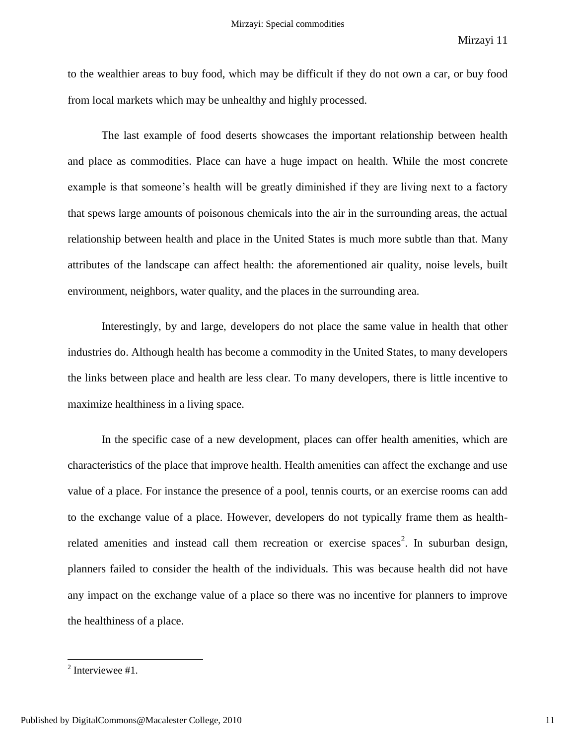to the wealthier areas to buy food, which may be difficult if they do not own a car, or buy food from local markets which may be unhealthy and highly processed.

The last example of food deserts showcases the important relationship between health and place as commodities. Place can have a huge impact on health. While the most concrete example is that someone's health will be greatly diminished if they are living next to a factory that spews large amounts of poisonous chemicals into the air in the surrounding areas, the actual relationship between health and place in the United States is much more subtle than that. Many attributes of the landscape can affect health: the aforementioned air quality, noise levels, built environment, neighbors, water quality, and the places in the surrounding area.

Interestingly, by and large, developers do not place the same value in health that other industries do. Although health has become a commodity in the United States, to many developers the links between place and health are less clear. To many developers, there is little incentive to maximize healthiness in a living space.

In the specific case of a new development, places can offer health amenities, which are characteristics of the place that improve health. Health amenities can affect the exchange and use value of a place. For instance the presence of a pool, tennis courts, or an exercise rooms can add to the exchange value of a place. However, developers do not typically frame them as healthrelated amenities and instead call them recreation or exercise spaces<sup>2</sup>. In suburban design, planners failed to consider the health of the individuals. This was because health did not have any impact on the exchange value of a place so there was no incentive for planners to improve the healthiness of a place.

 $^2$  Interviewee #1.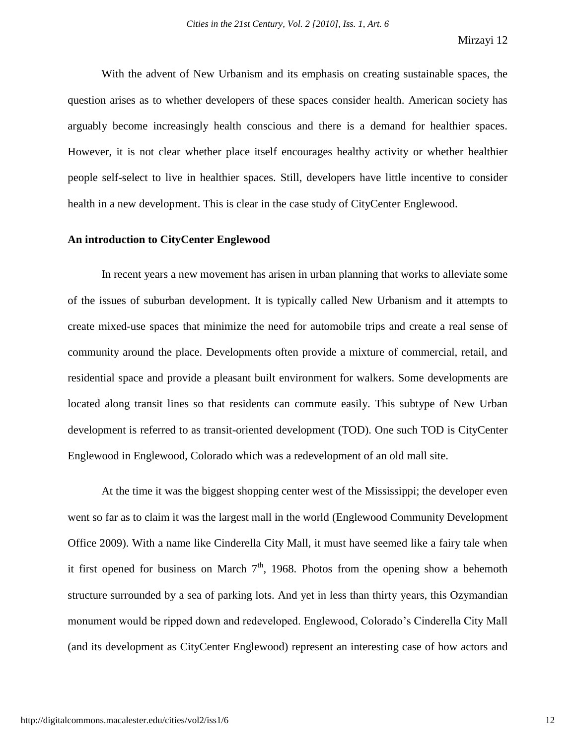With the advent of New Urbanism and its emphasis on creating sustainable spaces, the question arises as to whether developers of these spaces consider health. American society has arguably become increasingly health conscious and there is a demand for healthier spaces. However, it is not clear whether place itself encourages healthy activity or whether healthier people self-select to live in healthier spaces. Still, developers have little incentive to consider health in a new development. This is clear in the case study of CityCenter Englewood.

# **An introduction to CityCenter Englewood**

In recent years a new movement has arisen in urban planning that works to alleviate some of the issues of suburban development. It is typically called New Urbanism and it attempts to create mixed-use spaces that minimize the need for automobile trips and create a real sense of community around the place. Developments often provide a mixture of commercial, retail, and residential space and provide a pleasant built environment for walkers. Some developments are located along transit lines so that residents can commute easily. This subtype of New Urban development is referred to as transit-oriented development (TOD). One such TOD is CityCenter Englewood in Englewood, Colorado which was a redevelopment of an old mall site.

At the time it was the biggest shopping center west of the Mississippi; the developer even went so far as to claim it was the largest mall in the world (Englewood Community Development Office 2009). With a name like Cinderella City Mall, it must have seemed like a fairy tale when it first opened for business on March  $7<sup>th</sup>$ , 1968. Photos from the opening show a behemoth structure surrounded by a sea of parking lots. And yet in less than thirty years, this Ozymandian monument would be ripped down and redeveloped. Englewood, Colorado"s Cinderella City Mall (and its development as CityCenter Englewood) represent an interesting case of how actors and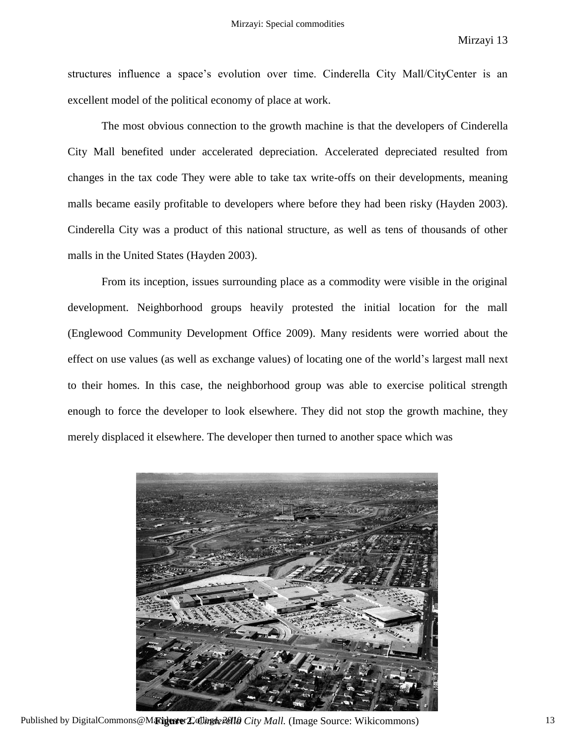structures influence a space"s evolution over time. Cinderella City Mall/CityCenter is an excellent model of the political economy of place at work.

The most obvious connection to the growth machine is that the developers of Cinderella City Mall benefited under accelerated depreciation. Accelerated depreciated resulted from changes in the tax code They were able to take tax write-offs on their developments, meaning malls became easily profitable to developers where before they had been risky (Hayden 2003). Cinderella City was a product of this national structure, as well as tens of thousands of other malls in the United States (Hayden 2003).

From its inception, issues surrounding place as a commodity were visible in the original development. Neighborhood groups heavily protested the initial location for the mall (Englewood Community Development Office 2009). Many residents were worried about the effect on use values (as well as exchange values) of locating one of the world"s largest mall next to their homes. In this case, the neighborhood group was able to exercise political strength enough to force the developer to look elsewhere. They did not stop the growth machine, they merely displaced it elsewhere. The developer then turned to another space which was



Published by DigitalCommons@Macalester College *Pella City Mall.* (Image Source: Wikicommons) 13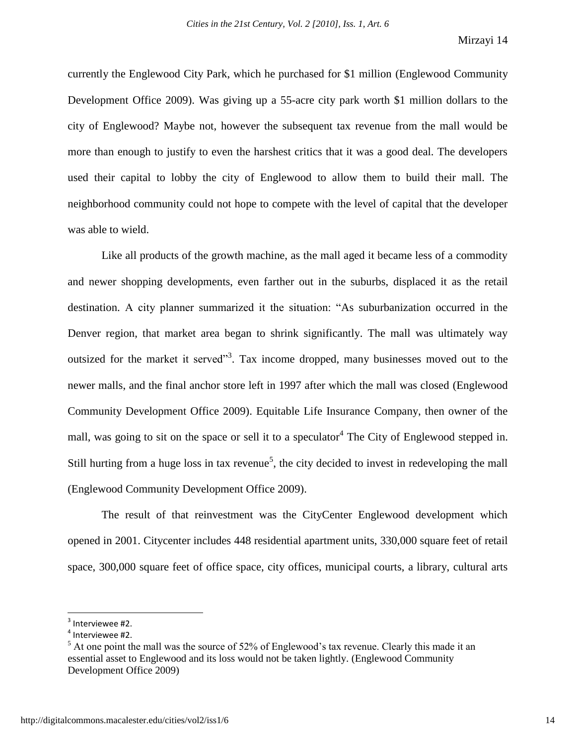currently the Englewood City Park, which he purchased for \$1 million (Englewood Community Development Office 2009). Was giving up a 55-acre city park worth \$1 million dollars to the city of Englewood? Maybe not, however the subsequent tax revenue from the mall would be more than enough to justify to even the harshest critics that it was a good deal. The developers used their capital to lobby the city of Englewood to allow them to build their mall. The neighborhood community could not hope to compete with the level of capital that the developer was able to wield.

Like all products of the growth machine, as the mall aged it became less of a commodity and newer shopping developments, even farther out in the suburbs, displaced it as the retail destination. A city planner summarized it the situation: "As suburbanization occurred in the Denver region, that market area began to shrink significantly. The mall was ultimately way outsized for the market it served<sup> $3$ </sup>. Tax income dropped, many businesses moved out to the newer malls, and the final anchor store left in 1997 after which the mall was closed (Englewood Community Development Office 2009). Equitable Life Insurance Company, then owner of the mall, was going to sit on the space or sell it to a speculator<sup>4</sup> The City of Englewood stepped in. Still hurting from a huge loss in tax revenue<sup>5</sup>, the city decided to invest in redeveloping the mall (Englewood Community Development Office 2009).

The result of that reinvestment was the CityCenter Englewood development which opened in 2001. Citycenter includes 448 residential apartment units, 330,000 square feet of retail space, 300,000 square feet of office space, city offices, municipal courts, a library, cultural arts

 $3$  Interviewee #2.

<sup>4</sup> Interviewee #2.

 $<sup>5</sup>$  At one point the mall was the source of 52% of Englewood's tax revenue. Clearly this made it an</sup> essential asset to Englewood and its loss would not be taken lightly. (Englewood Community Development Office 2009)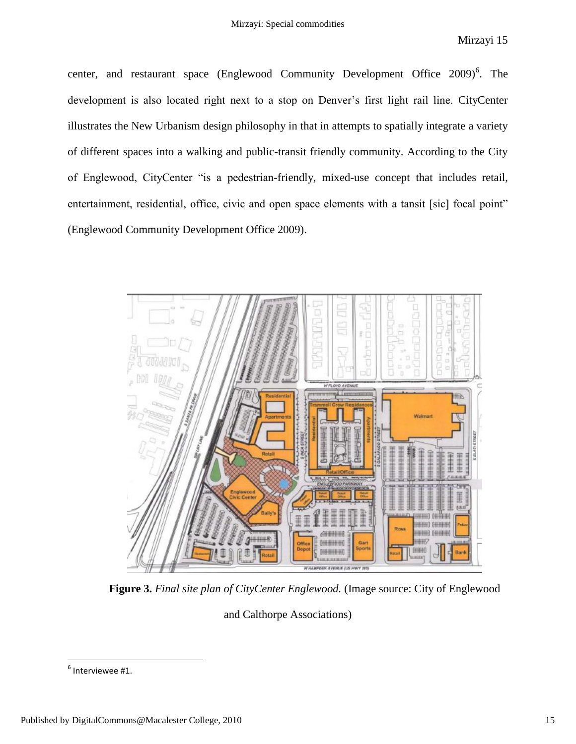center, and restaurant space (Englewood Community Development Office 2009)<sup>6</sup>. The development is also located right next to a stop on Denver"s first light rail line. CityCenter illustrates the New Urbanism design philosophy in that in attempts to spatially integrate a variety of different spaces into a walking and public-transit friendly community. According to the City of Englewood, CityCenter "is a pedestrian-friendly, mixed-use concept that includes retail, entertainment, residential, office, civic and open space elements with a tansit [sic] focal point" (Englewood Community Development Office 2009).



**Figure 3.** *Final site plan of CityCenter Englewood.* (Image source: City of Englewood

and Calthorpe Associations)

 $^6$  Interviewee #1.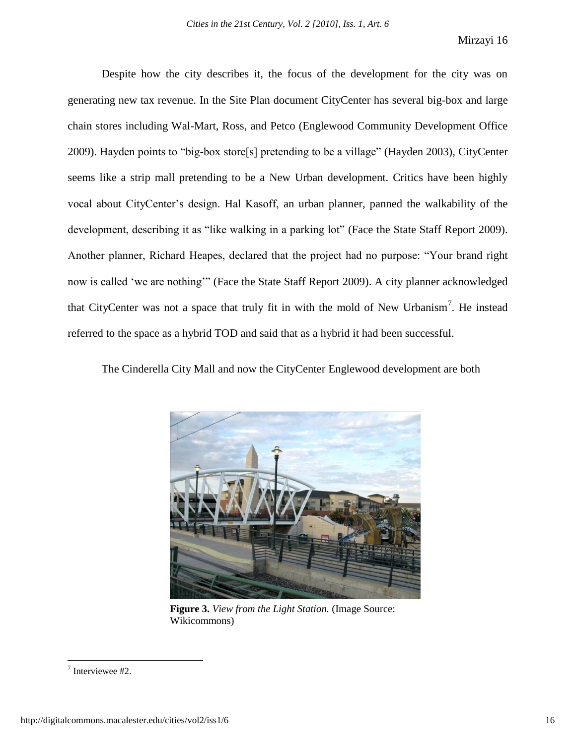Despite how the city describes it, the focus of the development for the city was on generating new tax revenue. In the Site Plan document CityCenter has several big-box and large chain stores including Wal-Mart, Ross, and Petco (Englewood Community Development Office 2009). Hayden points to "big-box store[s] pretending to be a village" (Hayden 2003), CityCenter seems like a strip mall pretending to be a New Urban development. Critics have been highly vocal about CityCenter"s design. Hal Kasoff, an urban planner, panned the walkability of the development, describing it as "like walking in a parking lot" (Face the State Staff Report 2009). Another planner, Richard Heapes, declared that the project had no purpose: "Your brand right now is called "we are nothing"" (Face the State Staff Report 2009). A city planner acknowledged that CityCenter was not a space that truly fit in with the mold of New Urbanism<sup>7</sup>. He instead referred to the space as a hybrid TOD and said that as a hybrid it had been successful.

The Cinderella City Mall and now the CityCenter Englewood development are both



**Figure 3.** *View from the Light Station.* (Image Source: Wikicommons)

<sup>7</sup> Interviewee #2.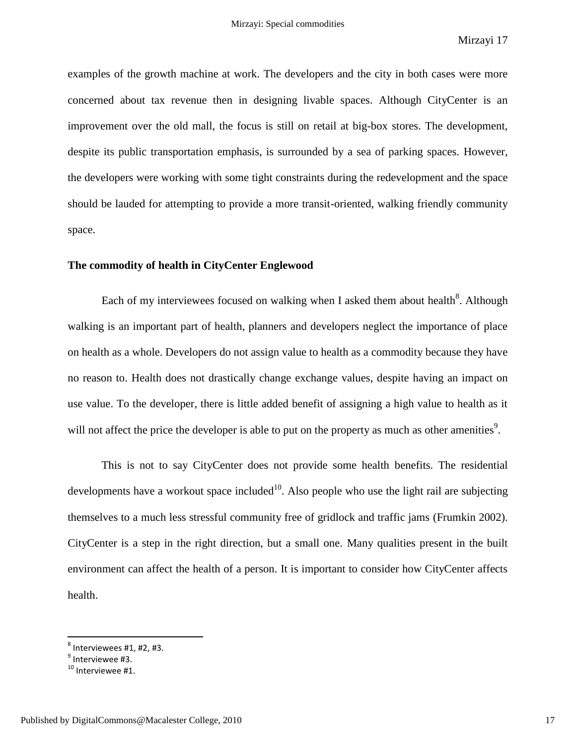examples of the growth machine at work. The developers and the city in both cases were more concerned about tax revenue then in designing livable spaces. Although CityCenter is an improvement over the old mall, the focus is still on retail at big-box stores. The development, despite its public transportation emphasis, is surrounded by a sea of parking spaces. However, the developers were working with some tight constraints during the redevelopment and the space should be lauded for attempting to provide a more transit-oriented, walking friendly community space.

# **The commodity of health in CityCenter Englewood**

Each of my interviewees focused on walking when I asked them about health $^8$ . Although walking is an important part of health, planners and developers neglect the importance of place on health as a whole. Developers do not assign value to health as a commodity because they have no reason to. Health does not drastically change exchange values, despite having an impact on use value. To the developer, there is little added benefit of assigning a high value to health as it will not affect the price the developer is able to put on the property as much as other amenities<sup>9</sup>.

This is not to say CityCenter does not provide some health benefits. The residential developments have a workout space included<sup>10</sup>. Also people who use the light rail are subjecting themselves to a much less stressful community free of gridlock and traffic jams (Frumkin 2002). CityCenter is a step in the right direction, but a small one. Many qualities present in the built environment can affect the health of a person. It is important to consider how CityCenter affects health.

 $^8$  Interviewees #1, #2, #3.

<sup>&</sup>lt;sup>9</sup> Interviewee #3.

<sup>&</sup>lt;sup>10</sup> Interviewee #1.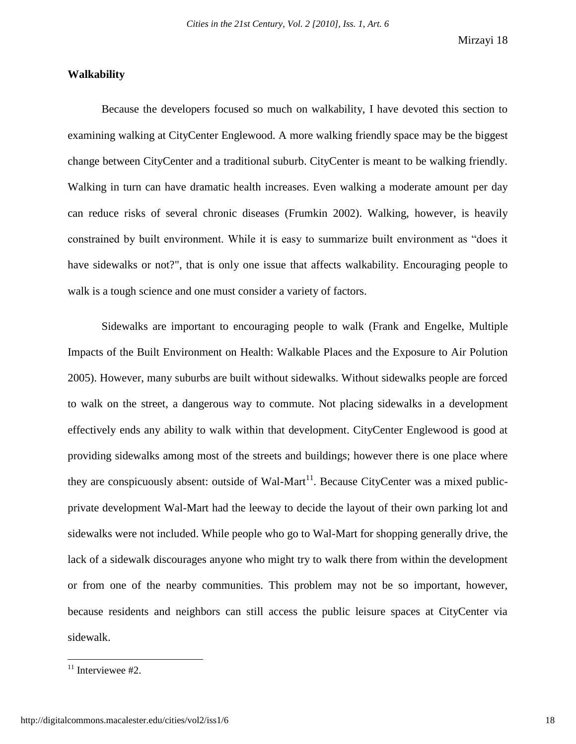# **Walkability**

Because the developers focused so much on walkability, I have devoted this section to examining walking at CityCenter Englewood. A more walking friendly space may be the biggest change between CityCenter and a traditional suburb. CityCenter is meant to be walking friendly. Walking in turn can have dramatic health increases. Even walking a moderate amount per day can reduce risks of several chronic diseases (Frumkin 2002). Walking, however, is heavily constrained by built environment. While it is easy to summarize built environment as "does it have sidewalks or not?", that is only one issue that affects walkability. Encouraging people to walk is a tough science and one must consider a variety of factors.

Sidewalks are important to encouraging people to walk (Frank and Engelke, Multiple Impacts of the Built Environment on Health: Walkable Places and the Exposure to Air Polution 2005). However, many suburbs are built without sidewalks. Without sidewalks people are forced to walk on the street, a dangerous way to commute. Not placing sidewalks in a development effectively ends any ability to walk within that development. CityCenter Englewood is good at providing sidewalks among most of the streets and buildings; however there is one place where they are conspicuously absent: outside of Wal-Mart<sup>11</sup>. Because CityCenter was a mixed publicprivate development Wal-Mart had the leeway to decide the layout of their own parking lot and sidewalks were not included. While people who go to Wal-Mart for shopping generally drive, the lack of a sidewalk discourages anyone who might try to walk there from within the development or from one of the nearby communities. This problem may not be so important, however, because residents and neighbors can still access the public leisure spaces at CityCenter via sidewalk.

 $11$  Interviewee #2.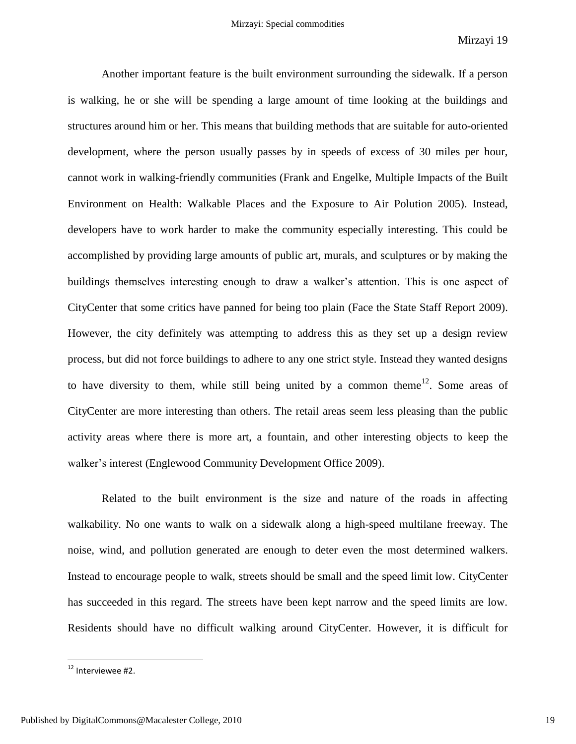Another important feature is the built environment surrounding the sidewalk. If a person is walking, he or she will be spending a large amount of time looking at the buildings and structures around him or her. This means that building methods that are suitable for auto-oriented development, where the person usually passes by in speeds of excess of 30 miles per hour, cannot work in walking-friendly communities (Frank and Engelke, Multiple Impacts of the Built Environment on Health: Walkable Places and the Exposure to Air Polution 2005). Instead, developers have to work harder to make the community especially interesting. This could be accomplished by providing large amounts of public art, murals, and sculptures or by making the buildings themselves interesting enough to draw a walker"s attention. This is one aspect of CityCenter that some critics have panned for being too plain (Face the State Staff Report 2009). However, the city definitely was attempting to address this as they set up a design review process, but did not force buildings to adhere to any one strict style. Instead they wanted designs to have diversity to them, while still being united by a common theme<sup>12</sup>. Some areas of CityCenter are more interesting than others. The retail areas seem less pleasing than the public activity areas where there is more art, a fountain, and other interesting objects to keep the walker's interest (Englewood Community Development Office 2009).

Related to the built environment is the size and nature of the roads in affecting walkability. No one wants to walk on a sidewalk along a high-speed multilane freeway. The noise, wind, and pollution generated are enough to deter even the most determined walkers. Instead to encourage people to walk, streets should be small and the speed limit low. CityCenter has succeeded in this regard. The streets have been kept narrow and the speed limits are low. Residents should have no difficult walking around CityCenter. However, it is difficult for

<sup>&</sup>lt;sup>12</sup> Interviewee #2.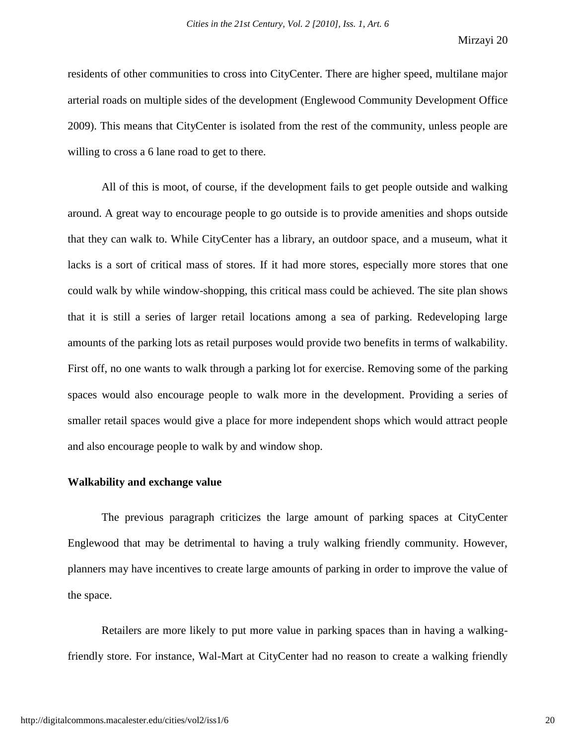residents of other communities to cross into CityCenter. There are higher speed, multilane major arterial roads on multiple sides of the development (Englewood Community Development Office 2009). This means that CityCenter is isolated from the rest of the community, unless people are willing to cross a 6 lane road to get to there.

All of this is moot, of course, if the development fails to get people outside and walking around. A great way to encourage people to go outside is to provide amenities and shops outside that they can walk to. While CityCenter has a library, an outdoor space, and a museum, what it lacks is a sort of critical mass of stores. If it had more stores, especially more stores that one could walk by while window-shopping, this critical mass could be achieved. The site plan shows that it is still a series of larger retail locations among a sea of parking. Redeveloping large amounts of the parking lots as retail purposes would provide two benefits in terms of walkability. First off, no one wants to walk through a parking lot for exercise. Removing some of the parking spaces would also encourage people to walk more in the development. Providing a series of smaller retail spaces would give a place for more independent shops which would attract people and also encourage people to walk by and window shop.

#### **Walkability and exchange value**

The previous paragraph criticizes the large amount of parking spaces at CityCenter Englewood that may be detrimental to having a truly walking friendly community. However, planners may have incentives to create large amounts of parking in order to improve the value of the space.

Retailers are more likely to put more value in parking spaces than in having a walkingfriendly store. For instance, Wal-Mart at CityCenter had no reason to create a walking friendly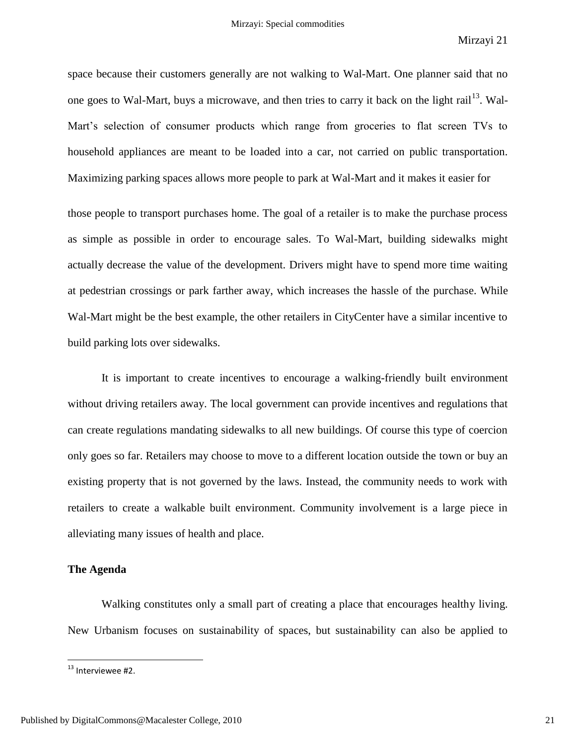space because their customers generally are not walking to Wal-Mart. One planner said that no one goes to Wal-Mart, buys a microwave, and then tries to carry it back on the light rail<sup>13</sup>. Wal-Mart's selection of consumer products which range from groceries to flat screen TVs to household appliances are meant to be loaded into a car, not carried on public transportation. Maximizing parking spaces allows more people to park at Wal-Mart and it makes it easier for

those people to transport purchases home. The goal of a retailer is to make the purchase process as simple as possible in order to encourage sales. To Wal-Mart, building sidewalks might actually decrease the value of the development. Drivers might have to spend more time waiting at pedestrian crossings or park farther away, which increases the hassle of the purchase. While Wal-Mart might be the best example, the other retailers in CityCenter have a similar incentive to build parking lots over sidewalks.

It is important to create incentives to encourage a walking-friendly built environment without driving retailers away. The local government can provide incentives and regulations that can create regulations mandating sidewalks to all new buildings. Of course this type of coercion only goes so far. Retailers may choose to move to a different location outside the town or buy an existing property that is not governed by the laws. Instead, the community needs to work with retailers to create a walkable built environment. Community involvement is a large piece in alleviating many issues of health and place.

# **The Agenda**

Walking constitutes only a small part of creating a place that encourages healthy living. New Urbanism focuses on sustainability of spaces, but sustainability can also be applied to

 $^{13}$  Interviewee #2.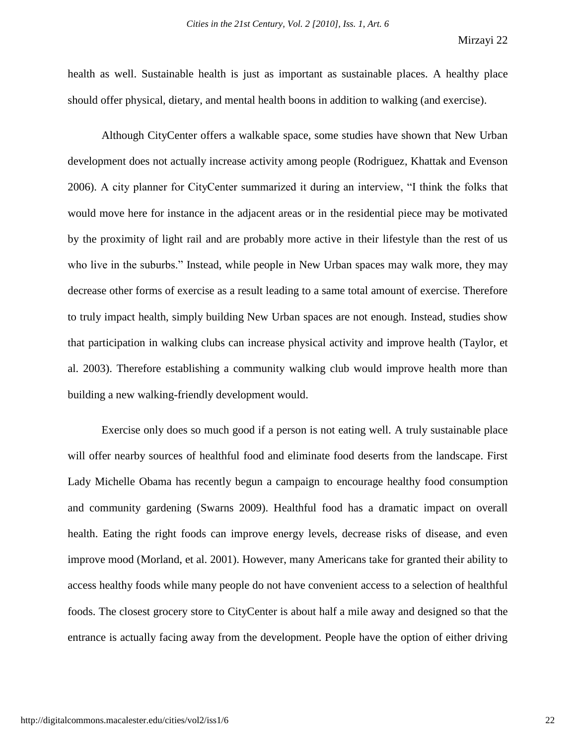health as well. Sustainable health is just as important as sustainable places. A healthy place should offer physical, dietary, and mental health boons in addition to walking (and exercise).

Although CityCenter offers a walkable space, some studies have shown that New Urban development does not actually increase activity among people (Rodriguez, Khattak and Evenson 2006). A city planner for CityCenter summarized it during an interview, "I think the folks that would move here for instance in the adjacent areas or in the residential piece may be motivated by the proximity of light rail and are probably more active in their lifestyle than the rest of us who live in the suburbs." Instead, while people in New Urban spaces may walk more, they may decrease other forms of exercise as a result leading to a same total amount of exercise. Therefore to truly impact health, simply building New Urban spaces are not enough. Instead, studies show that participation in walking clubs can increase physical activity and improve health (Taylor, et al. 2003). Therefore establishing a community walking club would improve health more than building a new walking-friendly development would.

Exercise only does so much good if a person is not eating well. A truly sustainable place will offer nearby sources of healthful food and eliminate food deserts from the landscape. First Lady Michelle Obama has recently begun a campaign to encourage healthy food consumption and community gardening (Swarns 2009). Healthful food has a dramatic impact on overall health. Eating the right foods can improve energy levels, decrease risks of disease, and even improve mood (Morland, et al. 2001). However, many Americans take for granted their ability to access healthy foods while many people do not have convenient access to a selection of healthful foods. The closest grocery store to CityCenter is about half a mile away and designed so that the entrance is actually facing away from the development. People have the option of either driving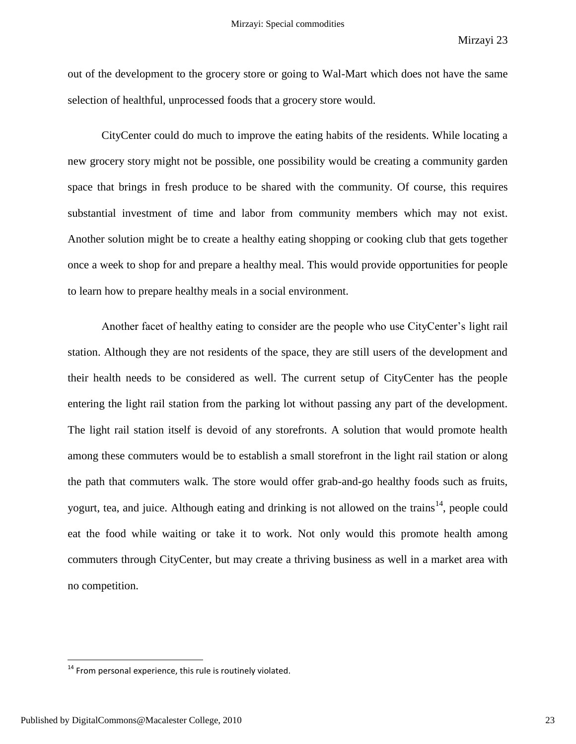out of the development to the grocery store or going to Wal-Mart which does not have the same selection of healthful, unprocessed foods that a grocery store would.

CityCenter could do much to improve the eating habits of the residents. While locating a new grocery story might not be possible, one possibility would be creating a community garden space that brings in fresh produce to be shared with the community. Of course, this requires substantial investment of time and labor from community members which may not exist. Another solution might be to create a healthy eating shopping or cooking club that gets together once a week to shop for and prepare a healthy meal. This would provide opportunities for people to learn how to prepare healthy meals in a social environment.

Another facet of healthy eating to consider are the people who use CityCenter"s light rail station. Although they are not residents of the space, they are still users of the development and their health needs to be considered as well. The current setup of CityCenter has the people entering the light rail station from the parking lot without passing any part of the development. The light rail station itself is devoid of any storefronts. A solution that would promote health among these commuters would be to establish a small storefront in the light rail station or along the path that commuters walk. The store would offer grab-and-go healthy foods such as fruits, yogurt, tea, and juice. Although eating and drinking is not allowed on the trains<sup>14</sup>, people could eat the food while waiting or take it to work. Not only would this promote health among commuters through CityCenter, but may create a thriving business as well in a market area with no competition.

 $14$  From personal experience, this rule is routinely violated.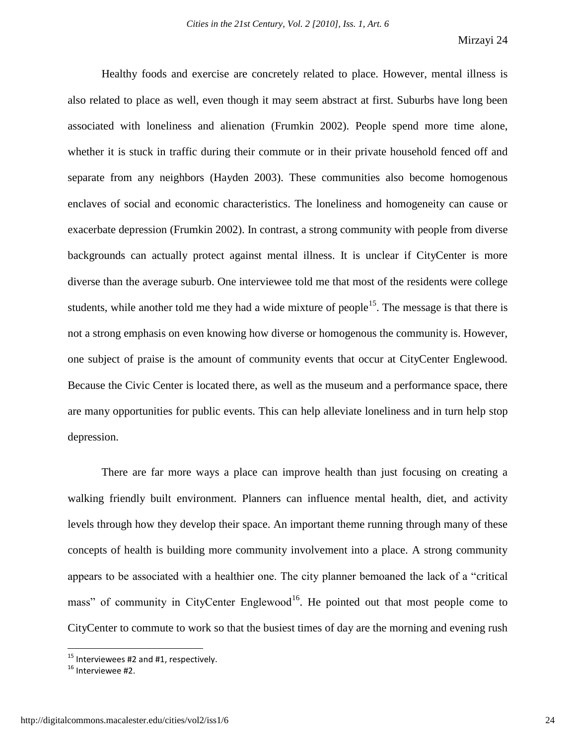Healthy foods and exercise are concretely related to place. However, mental illness is also related to place as well, even though it may seem abstract at first. Suburbs have long been associated with loneliness and alienation (Frumkin 2002). People spend more time alone, whether it is stuck in traffic during their commute or in their private household fenced off and separate from any neighbors (Hayden 2003). These communities also become homogenous enclaves of social and economic characteristics. The loneliness and homogeneity can cause or exacerbate depression (Frumkin 2002). In contrast, a strong community with people from diverse backgrounds can actually protect against mental illness. It is unclear if CityCenter is more diverse than the average suburb. One interviewee told me that most of the residents were college students, while another told me they had a wide mixture of people<sup>15</sup>. The message is that there is not a strong emphasis on even knowing how diverse or homogenous the community is. However, one subject of praise is the amount of community events that occur at CityCenter Englewood. Because the Civic Center is located there, as well as the museum and a performance space, there are many opportunities for public events. This can help alleviate loneliness and in turn help stop depression.

There are far more ways a place can improve health than just focusing on creating a walking friendly built environment. Planners can influence mental health, diet, and activity levels through how they develop their space. An important theme running through many of these concepts of health is building more community involvement into a place. A strong community appears to be associated with a healthier one. The city planner bemoaned the lack of a "critical mass" of community in CityCenter Englewood<sup>16</sup>. He pointed out that most people come to CityCenter to commute to work so that the busiest times of day are the morning and evening rush

l

 $15$  Interviewees #2 and #1, respectively.

<sup>&</sup>lt;sup>16</sup> Interviewee #2.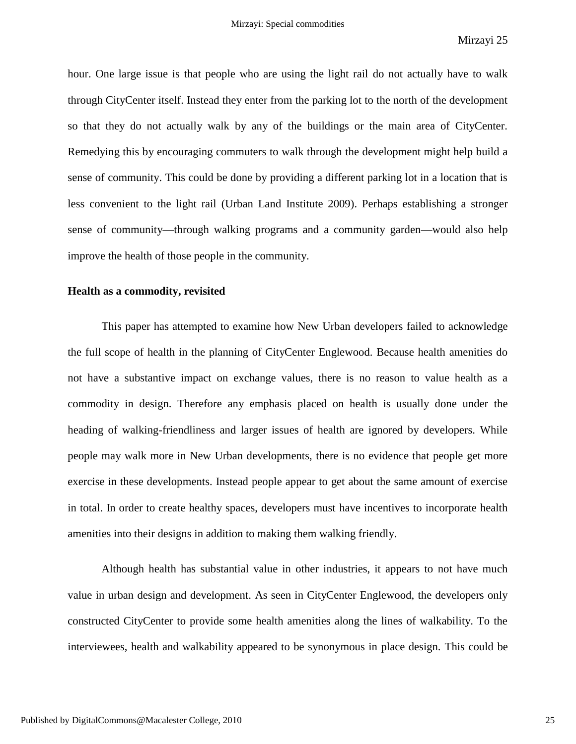hour. One large issue is that people who are using the light rail do not actually have to walk through CityCenter itself. Instead they enter from the parking lot to the north of the development so that they do not actually walk by any of the buildings or the main area of CityCenter. Remedying this by encouraging commuters to walk through the development might help build a sense of community. This could be done by providing a different parking lot in a location that is less convenient to the light rail (Urban Land Institute 2009). Perhaps establishing a stronger sense of community—through walking programs and a community garden—would also help improve the health of those people in the community.

#### **Health as a commodity, revisited**

This paper has attempted to examine how New Urban developers failed to acknowledge the full scope of health in the planning of CityCenter Englewood. Because health amenities do not have a substantive impact on exchange values, there is no reason to value health as a commodity in design. Therefore any emphasis placed on health is usually done under the heading of walking-friendliness and larger issues of health are ignored by developers. While people may walk more in New Urban developments, there is no evidence that people get more exercise in these developments. Instead people appear to get about the same amount of exercise in total. In order to create healthy spaces, developers must have incentives to incorporate health amenities into their designs in addition to making them walking friendly.

Although health has substantial value in other industries, it appears to not have much value in urban design and development. As seen in CityCenter Englewood, the developers only constructed CityCenter to provide some health amenities along the lines of walkability. To the interviewees, health and walkability appeared to be synonymous in place design. This could be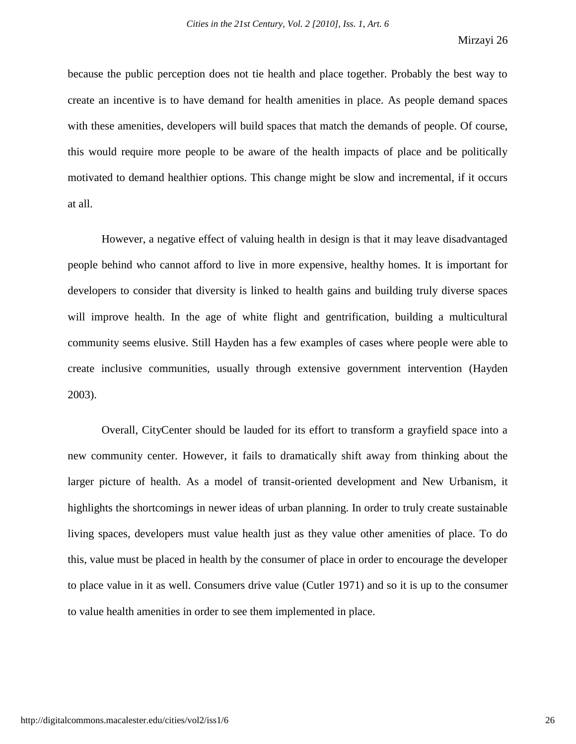because the public perception does not tie health and place together. Probably the best way to create an incentive is to have demand for health amenities in place. As people demand spaces with these amenities, developers will build spaces that match the demands of people. Of course, this would require more people to be aware of the health impacts of place and be politically motivated to demand healthier options. This change might be slow and incremental, if it occurs at all.

However, a negative effect of valuing health in design is that it may leave disadvantaged people behind who cannot afford to live in more expensive, healthy homes. It is important for developers to consider that diversity is linked to health gains and building truly diverse spaces will improve health. In the age of white flight and gentrification, building a multicultural community seems elusive. Still Hayden has a few examples of cases where people were able to create inclusive communities, usually through extensive government intervention (Hayden 2003).

Overall, CityCenter should be lauded for its effort to transform a grayfield space into a new community center. However, it fails to dramatically shift away from thinking about the larger picture of health. As a model of transit-oriented development and New Urbanism, it highlights the shortcomings in newer ideas of urban planning. In order to truly create sustainable living spaces, developers must value health just as they value other amenities of place. To do this, value must be placed in health by the consumer of place in order to encourage the developer to place value in it as well. Consumers drive value (Cutler 1971) and so it is up to the consumer to value health amenities in order to see them implemented in place.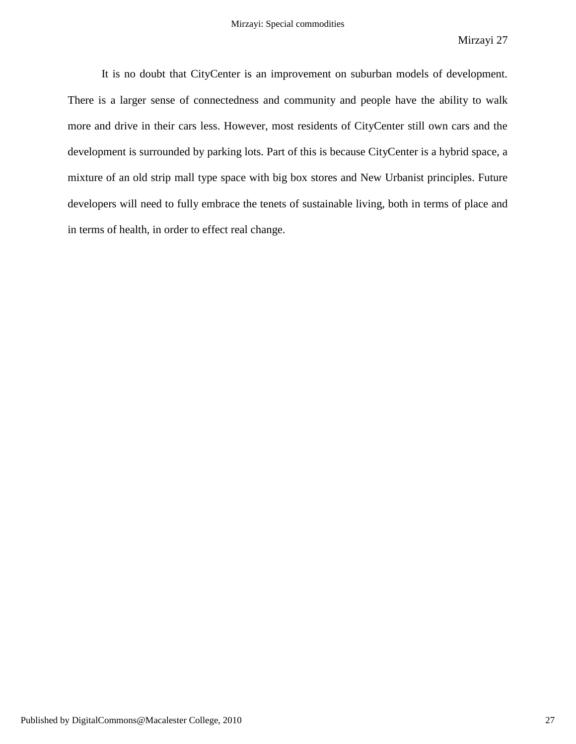It is no doubt that CityCenter is an improvement on suburban models of development. There is a larger sense of connectedness and community and people have the ability to walk more and drive in their cars less. However, most residents of CityCenter still own cars and the development is surrounded by parking lots. Part of this is because CityCenter is a hybrid space, a mixture of an old strip mall type space with big box stores and New Urbanist principles. Future developers will need to fully embrace the tenets of sustainable living, both in terms of place and in terms of health, in order to effect real change.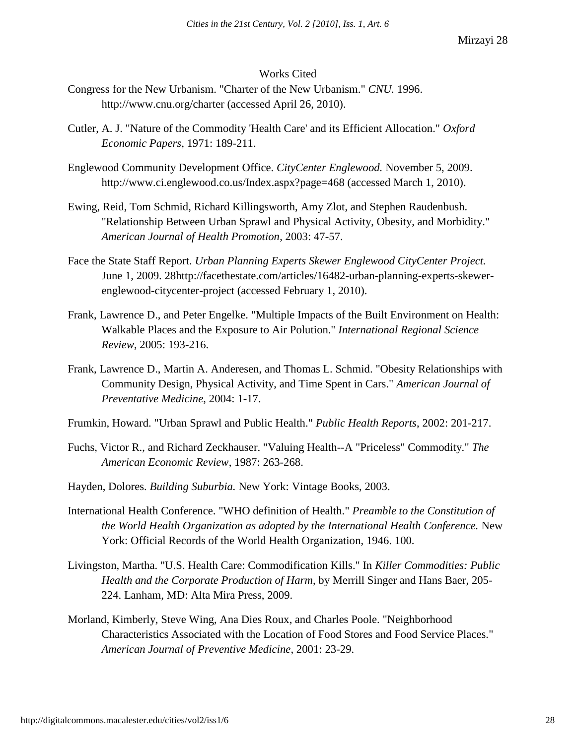# Works Cited

- Congress for the New Urbanism. "Charter of the New Urbanism." *CNU.* 1996. http://www.cnu.org/charter (accessed April 26, 2010).
- Cutler, A. J. "Nature of the Commodity 'Health Care' and its Efficient Allocation." *Oxford Economic Papers*, 1971: 189-211.
- Englewood Community Development Office. *CityCenter Englewood.* November 5, 2009. http://www.ci.englewood.co.us/Index.aspx?page=468 (accessed March 1, 2010).
- Ewing, Reid, Tom Schmid, Richard Killingsworth, Amy Zlot, and Stephen Raudenbush. "Relationship Between Urban Sprawl and Physical Activity, Obesity, and Morbidity." *American Journal of Health Promotion*, 2003: 47-57.
- Face the State Staff Report. *Urban Planning Experts Skewer Englewood CityCenter Project.* June 1, 2009. 28http://facethestate.com/articles/16482-urban-planning-experts-skewerenglewood-citycenter-project (accessed February 1, 2010).
- Frank, Lawrence D., and Peter Engelke. "Multiple Impacts of the Built Environment on Health: Walkable Places and the Exposure to Air Polution." *International Regional Science Review*, 2005: 193-216.
- Frank, Lawrence D., Martin A. Anderesen, and Thomas L. Schmid. "Obesity Relationships with Community Design, Physical Activity, and Time Spent in Cars." *American Journal of Preventative Medicine*, 2004: 1-17.
- Frumkin, Howard. "Urban Sprawl and Public Health." *Public Health Reports*, 2002: 201-217.
- Fuchs, Victor R., and Richard Zeckhauser. "Valuing Health--A "Priceless" Commodity." *The American Economic Review*, 1987: 263-268.
- Hayden, Dolores. *Building Suburbia.* New York: Vintage Books, 2003.
- International Health Conference. "WHO definition of Health." *Preamble to the Constitution of the World Health Organization as adopted by the International Health Conference.* New York: Official Records of the World Health Organization, 1946. 100.
- Livingston, Martha. "U.S. Health Care: Commodification Kills." In *Killer Commodities: Public Health and the Corporate Production of Harm*, by Merrill Singer and Hans Baer, 205- 224. Lanham, MD: Alta Mira Press, 2009.
- Morland, Kimberly, Steve Wing, Ana Dies Roux, and Charles Poole. "Neighborhood Characteristics Associated with the Location of Food Stores and Food Service Places." *American Journal of Preventive Medicine*, 2001: 23-29.